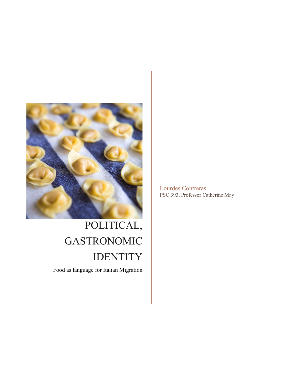

## POLITICAL, GASTRONOMIC IDENTITY

Food as language for Italian Migration

Lourdes Contreras PSC 393, Professor Catherine May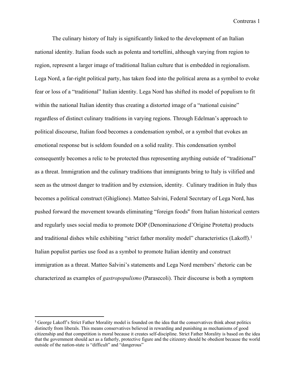The culinary history of Italy is significantly linked to the development of an Italian national identity. Italian foods such as polenta and tortellini, although varying from region to region, represent a larger image of traditional Italian culture that is embedded in regionalism. Lega Nord, a far-right political party, has taken food into the political arena as a symbol to evoke fear or loss of a "traditional" Italian identity. Lega Nord has shifted its model of populism to fit within the national Italian identity thus creating a distorted image of a "national cuisine" regardless of distinct culinary traditions in varying regions. Through Edelman's approach to political discourse, Italian food becomes a condensation symbol, or a symbol that evokes an emotional response but is seldom founded on a solid reality. This condensation symbol consequently becomes a relic to be protected thus representing anything outside of "traditional" as a threat. Immigration and the culinary traditions that immigrants bring to Italy is vilified and seen as the utmost danger to tradition and by extension, identity. Culinary tradition in Italy thus becomes a political construct (Ghiglione). Matteo Salvini, Federal Secretary of Lega Nord, has pushed forward the movement towards eliminating "foreign foods'' from Italian historical centers and regularly uses social media to promote DOP (Denominazione d'Origine Protetta) products and traditional dishes while exhibiting "strict father morality model" characteristics (Lakoff).<sup>1</sup> Italian populist parties use food as a symbol to promote Italian identity and construct immigration as a threat. Matteo Salvini's statements and Lega Nord members' rhetoric can be characterized as examples of *gastropopulismo* (Parasecoli). Their discourse is both a symptom

<sup>1</sup> George Lakoff's Strict Father Morality model is founded on the idea that the conservatives think about politics distinctly from liberals. This means conservatives believed in rewarding and punishing as mechanisms of good citizenship and that competition is moral because it creates self-discipline. Strict Father Morality is based on the idea that the government should act as a fatherly, protective figure and the citizenry should be obedient because the world outside of the nation-state is "difficult" and "dangerous"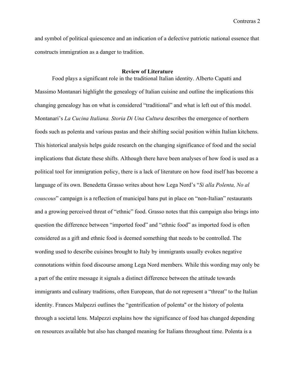and symbol of political quiescence and an indication of a defective patriotic national essence that constructs immigration as a danger to tradition.

## **Review of Literature**

Food plays a significant role in the traditional Italian identity. Alberto Capatti and Massimo Montanari highlight the genealogy of Italian cuisine and outline the implications this changing genealogy has on what is considered "traditional" and what is left out of this model. Montanari's *La Cucina Italiana. Storia Di Una Cultura* describes the emergence of northern foods such as polenta and various pastas and their shifting social position within Italian kitchens. This historical analysis helps guide research on the changing significance of food and the social implications that dictate these shifts. Although there have been analyses of how food is used as a political tool for immigration policy, there is a lack of literature on how food itself has become a language of its own. Benedetta Grasso writes about how Lega Nord's "*Si alla Polenta, No al couscous*" campaign is a reflection of municipal bans put in place on "non-Italian" restaurants and a growing perceived threat of "ethnic" food. Grasso notes that this campaign also brings into question the difference between "imported food" and "ethnic food" as imported food is often considered as a gift and ethnic food is deemed something that needs to be controlled. The wording used to describe cuisines brought to Italy by immigrants usually evokes negative connotations within food discourse among Lega Nord members. While this wording may only be a part of the entire message it signals a distinct difference between the attitude towards immigrants and culinary traditions, often European, that do not represent a "threat" to the Italian identity. Frances Malpezzi outlines the "gentrification of polenta'' or the history of polenta through a societal lens. Malpezzi explains how the significance of food has changed depending on resources available but also has changed meaning for Italians throughout time. Polenta is a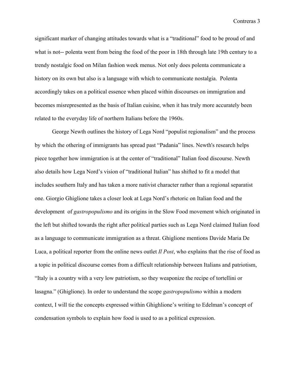significant marker of changing attitudes towards what is a "traditional" food to be proud of and what is not-- polenta went from being the food of the poor in 18th through late 19th century to a trendy nostalgic food on Milan fashion week menus. Not only does polenta communicate a history on its own but also is a language with which to communicate nostalgia. Polenta accordingly takes on a political essence when placed within discourses on immigration and becomes misrepresented as the basis of Italian cuisine, when it has truly more accurately been related to the everyday life of northern Italians before the 1960s.

George Newth outlines the history of Lega Nord "populist regionalism" and the process by which the othering of immigrants has spread past "Padania" lines. Newth's research helps piece together how immigration is at the center of "traditional" Italian food discourse. Newth also details how Lega Nord's vision of "traditional Italian" has shifted to fit a model that includes southern Italy and has taken a more nativist character rather than a regional separatist one. Giorgio Ghiglione takes a closer look at Lega Nord's rhetoric on Italian food and the development of *gastropopulismo* and its origins in the Slow Food movement which originated in the left but shifted towards the right after political parties such as Lega Nord claimed Italian food as a language to communicate immigration as a threat. Ghiglione mentions Davide Maria De Luca, a political reporter from the online news outlet *Il Post*, who explains that the rise of food as a topic in political discourse comes from a difficult relationship between Italians and patriotism, "Italy is a country with a very low patriotism, so they weaponize the recipe of tortellini or lasagna." (Ghiglione). In order to understand the scope *gastropopulismo* within a modern context, I will tie the concepts expressed within Ghighlione's writing to Edelman's concept of condensation symbols to explain how food is used to as a political expression.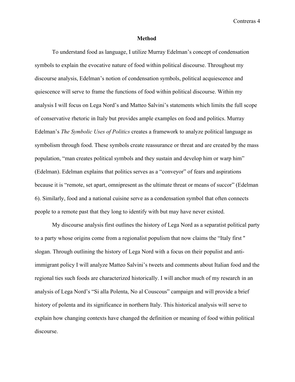## **Method**

To understand food as language, I utilize Murray Edelman's concept of condensation symbols to explain the evocative nature of food within political discourse. Throughout my discourse analysis, Edelman's notion of condensation symbols, political acquiescence and quiescence will serve to frame the functions of food within political discourse. Within my analysis I will focus on Lega Nord's and Matteo Salvini's statements which limits the full scope of conservative rhetoric in Italy but provides ample examples on food and politics. Murray Edelman's *The Symbolic Uses of Politics* creates a framework to analyze political language as symbolism through food. These symbols create reassurance or threat and are created by the mass population, "man creates political symbols and they sustain and develop him or warp him" (Edelman). Edelman explains that politics serves as a "conveyor" of fears and aspirations because it is "remote, set apart, omnipresent as the ultimate threat or means of succor" (Edelman 6). Similarly, food and a national cuisine serve as a condensation symbol that often connects people to a remote past that they long to identify with but may have never existed.

My discourse analysis first outlines the history of Lega Nord as a separatist political party to a party whose origins come from a regionalist populism that now claims the "Italy first '' slogan. Through outlining the history of Lega Nord with a focus on their populist and antiimmigrant policy I will analyze Matteo Salvini's tweets and comments about Italian food and the regional ties such foods are characterized historically. I will anchor much of my research in an analysis of Lega Nord's "Si alla Polenta, No al Couscous" campaign and will provide a brief history of polenta and its significance in northern Italy. This historical analysis will serve to explain how changing contexts have changed the definition or meaning of food within political discourse.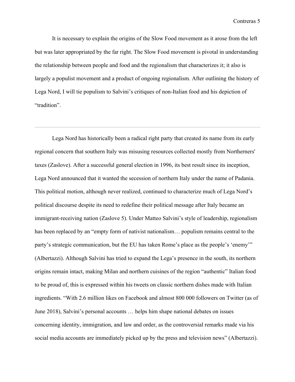It is necessary to explain the origins of the Slow Food movement as it arose from the left but was later appropriated by the far right. The Slow Food movement is pivotal in understanding the relationship between people and food and the regionalism that characterizes it; it also is largely a populist movement and a product of ongoing regionalism. After outlining the history of Lega Nord, I will tie populism to Salvini's critiques of non-Italian food and his depiction of "tradition".

Lega Nord has historically been a radical right party that created its name from its early regional concern that southern Italy was misusing resources collected mostly from Northerners' taxes (Zaslove). After a successful general election in 1996, its best result since its inception, Lega Nord announced that it wanted the secession of northern Italy under the name of Padania. This political motion, although never realized, continued to characterize much of Lega Nord's political discourse despite its need to redefine their political message after Italy became an immigrant-receiving nation (Zaslove 5). Under Matteo Salvini's style of leadership, regionalism has been replaced by an "empty form of nativist nationalism... populism remains central to the party's strategic communication, but the EU has taken Rome's place as the people's 'enemy'" (Albertazzi). Although Salvini has tried to expand the Lega's presence in the south, its northern origins remain intact, making Milan and northern cuisines of the region "authentic" Italian food to be proud of, this is expressed within his tweets on classic northern dishes made with Italian ingredients. "With 2.6 million likes on Facebook and almost 800 000 followers on Twitter (as of June 2018), Salvini's personal accounts … helps him shape national debates on issues concerning identity, immigration, and law and order, as the controversial remarks made via his social media accounts are immediately picked up by the press and television news" (Albertazzi).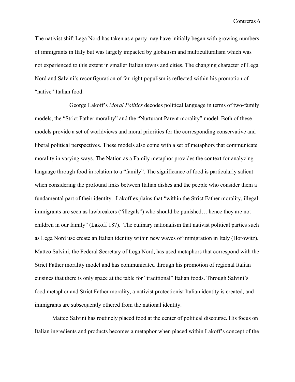The nativist shift Lega Nord has taken as a party may have initially began with growing numbers of immigrants in Italy but was largely impacted by globalism and multiculturalism which was not experienced to this extent in smaller Italian towns and cities. The changing character of Lega Nord and Salvini's reconfiguration of far-right populism is reflected within his promotion of "native" Italian food.

George Lakoff's *Moral Politics* decodes political language in terms of two-family models, the "Strict Father morality" and the "Nurturant Parent morality" model. Both of these models provide a set of worldviews and moral priorities for the corresponding conservative and liberal political perspectives. These models also come with a set of metaphors that communicate morality in varying ways. The Nation as a Family metaphor provides the context for analyzing language through food in relation to a "family". The significance of food is particularly salient when considering the profound links between Italian dishes and the people who consider them a fundamental part of their identity. Lakoff explains that "within the Strict Father morality, illegal immigrants are seen as lawbreakers ("illegals") who should be punished… hence they are not children in our family" (Lakoff 187). The culinary nationalism that nativist political parties such as Lega Nord use create an Italian identity within new waves of immigration in Italy (Horowitz). Matteo Salvini, the Federal Secretary of Lega Nord, has used metaphors that correspond with the Strict Father morality model and has communicated through his promotion of regional Italian cuisines that there is only space at the table for "traditional" Italian foods. Through Salvini's food metaphor and Strict Father morality, a nativist protectionist Italian identity is created, and immigrants are subsequently othered from the national identity.

Matteo Salvini has routinely placed food at the center of political discourse. His focus on Italian ingredients and products becomes a metaphor when placed within Lakoff's concept of the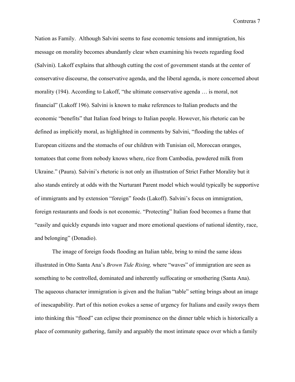Nation as Family. Although Salvini seems to fuse economic tensions and immigration, his message on morality becomes abundantly clear when examining his tweets regarding food (Salvini). Lakoff explains that although cutting the cost of government stands at the center of conservative discourse, the conservative agenda, and the liberal agenda, is more concerned about morality (194). According to Lakoff, "the ultimate conservative agenda … is moral, not financial" (Lakoff 196). Salvini is known to make references to Italian products and the economic "benefits" that Italian food brings to Italian people. However, his rhetoric can be defined as implicitly moral, as highlighted in comments by Salvini, "flooding the tables of European citizens and the stomachs of our children with Tunisian oil, Moroccan oranges, tomatoes that come from nobody knows where, rice from Cambodia, powdered milk from Ukraine." (Paura). Salvini's rhetoric is not only an illustration of Strict Father Morality but it also stands entirely at odds with the Nurturant Parent model which would typically be supportive of immigrants and by extension "foreign" foods (Lakoff). Salvini's focus on immigration, foreign restaurants and foods is not economic. "Protecting" Italian food becomes a frame that "easily and quickly expands into vaguer and more emotional questions of national identity, race, and belonging" (Donadio).

The image of foreign foods flooding an Italian table, bring to mind the same ideas illustrated in Otto Santa Ana's *Brown Tide Rising,* where "waves" of immigration are seen as something to be controlled, dominated and inherently suffocating or smothering (Santa Ana). The aqueous character immigration is given and the Italian "table" setting brings about an image of inescapability. Part of this notion evokes a sense of urgency for Italians and easily sways them into thinking this "flood" can eclipse their prominence on the dinner table which is historically a place of community gathering, family and arguably the most intimate space over which a family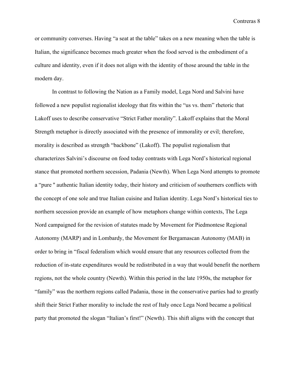or community converses. Having "a seat at the table" takes on a new meaning when the table is Italian, the significance becomes much greater when the food served is the embodiment of a culture and identity, even if it does not align with the identity of those around the table in the modern day.

In contrast to following the Nation as a Family model, Lega Nord and Salvini have followed a new populist regionalist ideology that fits within the "us vs. them" rhetoric that Lakoff uses to describe conservative "Strict Father morality". Lakoff explains that the Moral Strength metaphor is directly associated with the presence of immorality or evil; therefore, morality is described as strength "backbone" (Lakoff). The populist regionalism that characterizes Salvini's discourse on food today contrasts with Lega Nord's historical regional stance that promoted northern secession, Padania (Newth). When Lega Nord attempts to promote a "pure '' authentic Italian identity today, their history and criticism of southerners conflicts with the concept of one sole and true Italian cuisine and Italian identity. Lega Nord's historical ties to northern secession provide an example of how metaphors change within contexts, The Lega Nord campaigned for the revision of statutes made by Movement for Piedmontese Regional Autonomy (MARP) and in Lombardy, the Movement for Bergamascan Autonomy (MAB) in order to bring in "fiscal federalism which would ensure that any resources collected from the reduction of in-state expenditures would be redistributed in a way that would benefit the northern regions, not the whole country (Newth). Within this period in the late 1950s, the metaphor for "family" was the northern regions called Padania, those in the conservative parties had to greatly shift their Strict Father morality to include the rest of Italy once Lega Nord became a political party that promoted the slogan "Italian's first!" (Newth). This shift aligns with the concept that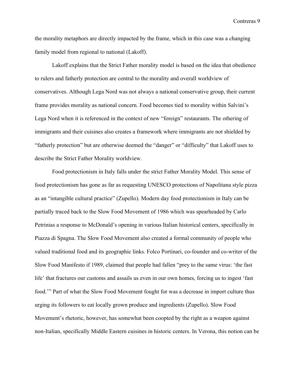the morality metaphors are directly impacted by the frame, which in this case was a changing family model from regional to national (Lakoff).

Lakoff explains that the Strict Father morality model is based on the idea that obedience to rulers and fatherly protection are central to the morality and overall worldview of conservatives. Although Lega Nord was not always a national conservative group, their current frame provides morality as national concern. Food becomes tied to morality within Salvini's Lega Nord when it is referenced in the context of new "foreign" restaurants. The othering of immigrants and their cuisines also creates a framework where immigrants are not shielded by "fatherly protection" but are otherwise deemed the "danger" or "difficulty" that Lakoff uses to describe the Strict Father Morality worldview.

Food protectionism in Italy falls under the strict Father Morality Model. This sense of food protectionism has gone as far as requesting UNESCO protections of Napolitana style pizza as an "intangible cultural practice" (Zupello). Modern day food protectionism in Italy can be partially traced back to the Slow Food Movement of 1986 which was spearheaded by Carlo Petrinias a response to McDonald's opening in various Italian historical centers, specifically in Piazza di Spagna. The Slow Food Movement also created a formal community of people who valued traditional food and its geographic links. Folco Portinari, co-founder and co-writer of the Slow Food Manifesto if 1989, claimed that people had fallen "prey to the same virus: 'the fast life' that fractures our customs and assails us even in our own homes, forcing us to ingest 'fast food.'" Part of what the Slow Food Movement fought for was a decrease in import culture thus urging its followers to eat locally grown produce and ingredients (Zupello). Slow Food Movement's rhetoric, however, has somewhat been coopted by the right as a weapon against non-Italian, specifically Middle Eastern cuisines in historic centers. In Verona, this notion can be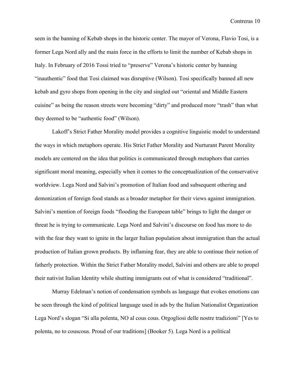seen in the banning of Kebab shops in the historic center. The mayor of Verona, Flavio Tosi, is a former Lega Nord ally and the main force in the efforts to limit the number of Kebab shops in Italy. In February of 2016 Tossi tried to "preserve" Verona's historic center by banning "inauthentic" food that Tosi claimed was disruptive (Wilson). Tosi specifically banned all new kebab and gyro shops from opening in the city and singled out "oriental and Middle Eastern cuisine" as being the reason streets were becoming "dirty" and produced more "trash" than what they deemed to be "authentic food" (Wilson).

Lakoff's Strict Father Morality model provides a cognitive linguistic model to understand the ways in which metaphors operate. His Strict Father Morality and Nurturant Parent Morality models are centered on the idea that politics is communicated through metaphors that carries significant moral meaning, especially when it comes to the conceptualization of the conservative worldview. Lega Nord and Salvini's promotion of Italian food and subsequent othering and demonization of foreign food stands as a broader metaphor for their views against immigration. Salvini's mention of foreign foods "flooding the European table" brings to light the danger or threat he is trying to communicate. Lega Nord and Salvini's discourse on food has more to do with the fear they want to ignite in the larger Italian population about immigration than the actual production of Italian grown products. By inflaming fear, they are able to continue their notion of fatherly protection. Within the Strict Father Morality model, Salvini and others are able to propel their nativist Italian Identity while shutting immigrants out of what is considered "traditional".

Murray Edelman's notion of condensation symbols as language that evokes emotions can be seen through the kind of political language used in ads by the Italian Nationalist Organization Lega Nord's slogan "Si alla polenta, NO al cous cous. Orgogliosi delle nostre tradizioni" [Yes to polenta, no to couscous. Proud of our traditions] (Booker 5). Lega Nord is a political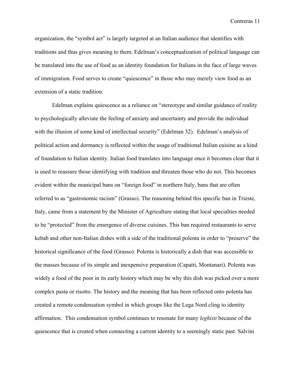organization, the "symbol act" is largely targeted at an Italian audience that identifies with traditions and thus gives meaning to them. Edelman's conceptualization of political language can be translated into the use of food as an identity foundation for Italians in the face of large waves of immigration. Food serves to create "quiescence" in those who may merely view food as an extension of a static tradition.

Edelman explains quiescence as a reliance on "stereotype and similar guidance of reality to psychologically alleviate the feeling of anxiety and uncertainty and provide the individual with the illusion of some kind of intellectual security" (Edelman 32). Edelman's analysis of political action and dormancy is reflected within the usage of traditional Italian cuisine as a kind of foundation to Italian identity. Italian food translates into language once it becomes clear that it is used to reassure those identifying with tradition and threaten those who do not. This becomes evident within the municipal bans on "foreign food" in northern Italy, bans that are often referred to as "gastronomic racism" (Grasso). The reasoning behind this specific ban in Trieste, Italy, came from a statement by the Minister of Agriculture stating that local specialties needed to be "protected" from the emergence of diverse cuisines. This ban required restaurants to serve kebab and other non-Italian dishes with a side of the traditional polenta in order to "preserve" the historical significance of the food (Grasso). Polenta is historically a dish that was accessible to the masses because of its simple and inexpensive preparation (Capatti, Montanari). Polenta was widely a food of the poor in its early history which may be why this dish was picked over a more complex pasta or risotto. The history and the meaning that has been reflected onto polenta has created a remote condensation symbol in which groups like the Lega Nord cling to identity affirmation. This condensation symbol continues to resonate for many *leghisti* because of the quiescence that is created when connecting a current identity to a seemingly static past. Salvini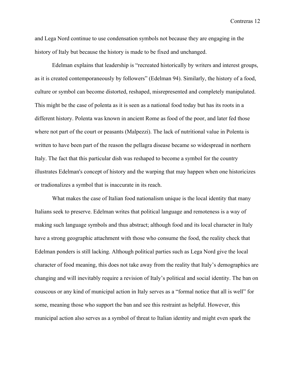and Lega Nord continue to use condensation symbols not because they are engaging in the history of Italy but because the history is made to be fixed and unchanged.

Edelman explains that leadership is "recreated historically by writers and interest groups, as it is created contemporaneously by followers" (Edelman 94). Similarly, the history of a food, culture or symbol can become distorted, reshaped, misrepresented and completely manipulated. This might be the case of polenta as it is seen as a national food today but has its roots in a different history. Polenta was known in ancient Rome as food of the poor, and later fed those where not part of the court or peasants (Malpezzi). The lack of nutritional value in Polenta is written to have been part of the reason the pellagra disease became so widespread in northern Italy. The fact that this particular dish was reshaped to become a symbol for the country illustrates Edelman's concept of history and the warping that may happen when one historicizes or tradionalizes a symbol that is inaccurate in its reach.

What makes the case of Italian food nationalism unique is the local identity that many Italians seek to preserve. Edelman writes that political language and remoteness is a way of making such language symbols and thus abstract; although food and its local character in Italy have a strong geographic attachment with those who consume the food, the reality check that Edelman ponders is still lacking. Although political parties such as Lega Nord give the local character of food meaning, this does not take away from the reality that Italy's demographics are changing and will inevitably require a revision of Italy's political and social identity. The ban on couscous or any kind of municipal action in Italy serves as a "formal notice that all is well" for some, meaning those who support the ban and see this restraint as helpful. However, this municipal action also serves as a symbol of threat to Italian identity and might even spark the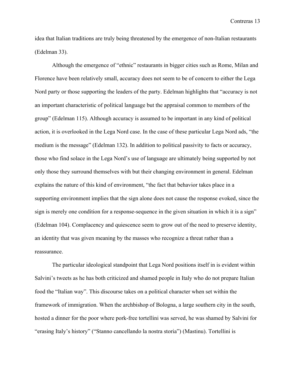idea that Italian traditions are truly being threatened by the emergence of non-Italian restaurants (Edelman 33).

Although the emergence of "ethnic" restaurants in bigger cities such as Rome, Milan and Florence have been relatively small, accuracy does not seem to be of concern to either the Lega Nord party or those supporting the leaders of the party. Edelman highlights that "accuracy is not an important characteristic of political language but the appraisal common to members of the group" (Edelman 115). Although accuracy is assumed to be important in any kind of political action, it is overlooked in the Lega Nord case. In the case of these particular Lega Nord ads, "the medium is the message" (Edelman 132). In addition to political passivity to facts or accuracy, those who find solace in the Lega Nord's use of language are ultimately being supported by not only those they surround themselves with but their changing environment in general. Edelman explains the nature of this kind of environment, "the fact that behavior takes place in a supporting environment implies that the sign alone does not cause the response evoked, since the sign is merely one condition for a response-sequence in the given situation in which it is a sign" (Edelman 104). Complacency and quiescence seem to grow out of the need to preserve identity, an identity that was given meaning by the masses who recognize a threat rather than a reassurance.

The particular ideological standpoint that Lega Nord positions itself in is evident within Salvini's tweets as he has both criticized and shamed people in Italy who do not prepare Italian food the "Italian way". This discourse takes on a political character when set within the framework of immigration. When the archbishop of Bologna, a large southern city in the south, hosted a dinner for the poor where pork-free tortellini was served, he was shamed by Salvini for "erasing Italy's history" ("Stanno cancellando la nostra storia") (Mastinu). Tortellini is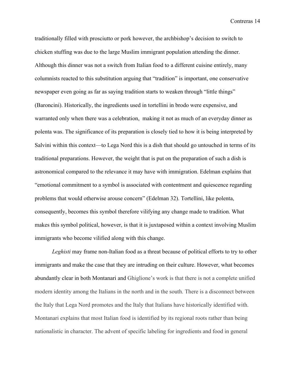traditionally filled with prosciutto or pork however, the archbishop's decision to switch to chicken stuffing was due to the large Muslim immigrant population attending the dinner. Although this dinner was not a switch from Italian food to a different cuisine entirely, many columnists reacted to this substitution arguing that "tradition" is important, one conservative newspaper even going as far as saying tradition starts to weaken through "little things" (Baroncini). Historically, the ingredients used in tortellini in brodo were expensive, and warranted only when there was a celebration, making it not as much of an everyday dinner as polenta was. The significance of its preparation is closely tied to how it is being interpreted by Salvini within this context—to Lega Nord this is a dish that should go untouched in terms of its traditional preparations. However, the weight that is put on the preparation of such a dish is astronomical compared to the relevance it may have with immigration. Edelman explains that "emotional commitment to a symbol is associated with contentment and quiescence regarding problems that would otherwise arouse concern" (Edelman 32). Tortellini, like polenta, consequently, becomes this symbol therefore vilifying any change made to tradition. What makes this symbol political, however, is that it is juxtaposed within a context involving Muslim immigrants who become vilified along with this change.

*Leghisti* may frame non-Italian food as a threat because of political efforts to try to other immigrants and make the case that they are intruding on their culture. However, what becomes abundantly clear in both Montanari and Ghiglione's work is that there is not a complete unified modern identity among the Italians in the north and in the south. There is a disconnect between the Italy that Lega Nord promotes and the Italy that Italians have historically identified with. Montanari explains that most Italian food is identified by its regional roots rather than being nationalistic in character. The advent of specific labeling for ingredients and food in general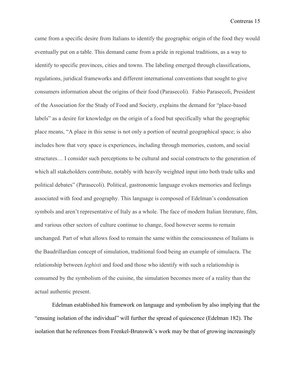came from a specific desire from Italians to identify the geographic origin of the food they would eventually put on a table. This demand came from a pride in regional traditions, as a way to identify to specific provinces, cities and towns. The labeling emerged through classifications, regulations, juridical frameworks and different international conventions that sought to give consumers information about the origins of their food (Parasecoli). Fabio Parasecoli, President of the Association for the Study of Food and Society, explains the demand for "place-based labels" as a desire for knowledge on the origin of a food but specifically what the geographic place means, "A place in this sense is not only a portion of neutral geographical space; is also includes how that very space is experiences, including through memories, custom, and social structures… I consider such perceptions to be cultural and social constructs to the generation of which all stakeholders contribute, notably with heavily weighted input into both trade talks and political debates" (Parasecoli). Political, gastronomic language evokes memories and feelings associated with food and geography. This language is composed of Edelman's condensation symbols and aren't representative of Italy as a whole. The face of modern Italian literature, film, and various other sectors of culture continue to change, food however seems to remain unchanged. Part of what allows food to remain the same within the consciousness of Italians is the Baudrillardian concept of simulation, traditional food being an example of simulacra. The relationship between *leghisti* and food and those who identify with such a relationship is consumed by the symbolism of the cuisine, the simulation becomes more of a reality than the actual authentic present.

Edelman established his framework on language and symbolism by also implying that the "ensuing isolation of the individual" will further the spread of quiescence (Edelman 182). The isolation that he references from Frenkel-Brunswik's work may be that of growing increasingly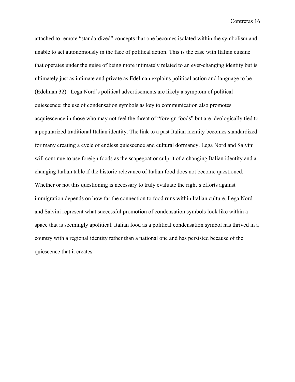attached to remote "standardized" concepts that one becomes isolated within the symbolism and unable to act autonomously in the face of political action. This is the case with Italian cuisine that operates under the guise of being more intimately related to an ever-changing identity but is ultimately just as intimate and private as Edelman explains political action and language to be (Edelman 32). Lega Nord's political advertisements are likely a symptom of political quiescence; the use of condensation symbols as key to communication also promotes acquiescence in those who may not feel the threat of "foreign foods" but are ideologically tied to a popularized traditional Italian identity. The link to a past Italian identity becomes standardized for many creating a cycle of endless quiescence and cultural dormancy. Lega Nord and Salvini will continue to use foreign foods as the scapegoat or culprit of a changing Italian identity and a changing Italian table if the historic relevance of Italian food does not become questioned. Whether or not this questioning is necessary to truly evaluate the right's efforts against immigration depends on how far the connection to food runs within Italian culture. Lega Nord and Salvini represent what successful promotion of condensation symbols look like within a space that is seemingly apolitical. Italian food as a political condensation symbol has thrived in a country with a regional identity rather than a national one and has persisted because of the quiescence that it creates.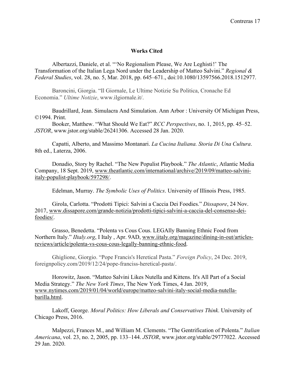## **Works Cited**

Albertazzi, Daniele, et al. "'No Regionalism Please, We Are Leghisti !' The Transformation of the Italian Lega Nord under the Leadership of Matteo Salvini." *Regional & Federal Studies*, vol. 28, no. 5, Mar. 2018, pp. 645–671., doi:10.1080/13597566.2018.1512977.

Baroncini, Giorgia. "Il Giornale, Le Ultime Notizie Su Politica, Cronache Ed Economia." *Ultime Notizie*, www.ilgiornale.it/.

Baudrillard, Jean. Simulacra And Simulation. Ann Arbor : University Of Michigan Press, ©1994. Print.

Booker, Matthew. "What Should We Eat?" *RCC Perspectives*, no. 1, 2015, pp. 45–52. *JSTOR*, www.jstor.org/stable/26241306. Accessed 28 Jan. 2020.

Capatti, Alberto, and Massimo Montanari. *La Cucina Italiana. Storia Di Una Cultura*. 8th ed., Laterza, 2006.

Donadio, Story by Rachel. "The New Populist Playbook." *The Atlantic*, Atlantic Media Company, 18 Sept. 2019, www.theatlantic.com/international/archive/2019/09/matteo-salviniitaly-populist-playbook/597298/.

Edelman, Murray. *The Symbolic Uses of Politics*. University of Illinois Press, 1985.

Girola, Carlotta. "Prodotti Tipici: Salvini a Caccia Dei Foodies." *Dissapore*, 24 Nov. 2017, www.dissapore.com/grande-notizia/prodotti-tipici-salvini-a-caccia-del-consenso-deifoodies/.

Grasso, Benedetta. "Polenta vs Cous Cous. LEGAlly Banning Ethnic Food from Northern Italy." *IItaly.org*, I Italy , Apr. 9AD, www.iitaly.org/magazine/dining-in-out/articlesreviews/article/polenta-vs-cous-cous-legally-banning-ethnic-food.

Ghiglione, Giorgio. "Pope Francis's Heretical Pasta." *Foreign Policy*, 24 Dec. 2019, foreignpolicy.com/2019/12/24/pope-franciss-heretical-pasta/.

Horowitz, Jason. "Matteo Salvini Likes Nutella and Kittens. It's All Part of a Social Media Strategy." *The New York Times*, The New York Times, 4 Jan. 2019, www.nytimes.com/2019/01/04/world/europe/matteo-salvini-italy-social-media-nutellabarilla.html.

Lakoff, George. *Moral Politics: How Liberals and Conservatives Think*. University of Chicago Press, 2016.

Malpezzi, Frances M., and William M. Clements. "The Gentrification of Polenta." *Italian Americana*, vol. 23, no. 2, 2005, pp. 133–144. *JSTOR*, www.jstor.org/stable/29777022. Accessed 29 Jan. 2020.